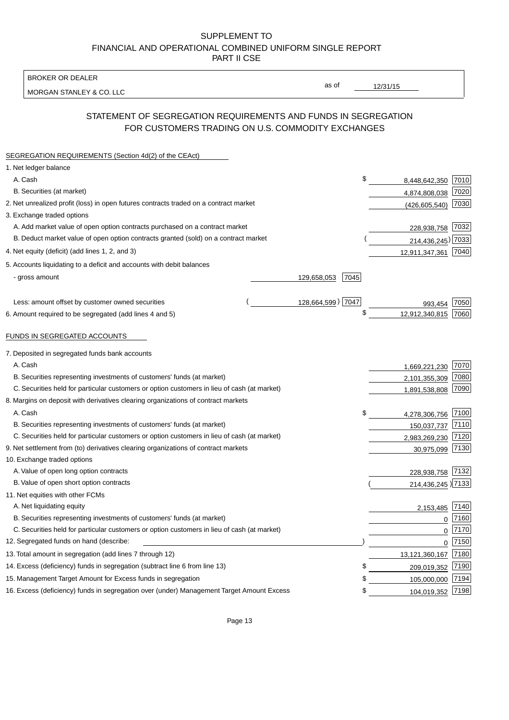BROKER OR DEALER

MORGAN STANLEY & CO. LLC

12/31/15

as of

# STATEMENT OF SEGREGATION REQUIREMENTS AND FUNDS IN SEGREGATION FOR CUSTOMERS TRADING ON U.S. COMMODITY EXCHANGES

| SEGREGATION REQUIREMENTS (Section 4d(2) of the CEAct)                                       |                     |                     |          |
|---------------------------------------------------------------------------------------------|---------------------|---------------------|----------|
| 1. Net ledger balance                                                                       |                     |                     |          |
| A. Cash                                                                                     | \$                  | 8,448,642,350       | 7010     |
| B. Securities (at market)                                                                   |                     | 4,874,808,038       | 7020     |
| 2. Net unrealized profit (loss) in open futures contracts traded on a contract market       |                     | (426, 605, 540)     | 7030     |
| 3. Exchange traded options                                                                  |                     |                     |          |
| A. Add market value of open option contracts purchased on a contract market                 |                     | 228,938,758 7032    |          |
| B. Deduct market value of open option contracts granted (sold) on a contract market         |                     | 214,436,245) 7033   |          |
| 4. Net equity (deficit) (add lines 1, 2, and 3)                                             |                     | 12,911,347,361      | 7040     |
| 5. Accounts liquidating to a deficit and accounts with debit balances                       |                     |                     |          |
| - gross amount                                                                              | 129,658,053<br>7045 |                     |          |
|                                                                                             |                     |                     |          |
| Less: amount offset by customer owned securities                                            | 128,664,599) 7047   | 993.454             | 7050     |
| 6. Amount required to be segregated (add lines 4 and 5)                                     | \$                  | 12,912,340,815      | 7060     |
| FUNDS IN SEGREGATED ACCOUNTS                                                                |                     |                     |          |
| 7. Deposited in segregated funds bank accounts                                              |                     |                     |          |
| A. Cash                                                                                     |                     | 1,669,221,230       | 7070     |
| B. Securities representing investments of customers' funds (at market)                      |                     | 2,101,355,309       | 7080     |
| C. Securities held for particular customers or option customers in lieu of cash (at market) |                     | 1,891,538,808       | 7090     |
| 8. Margins on deposit with derivatives clearing organizations of contract markets           |                     |                     |          |
| A. Cash                                                                                     | \$                  | 4,278,306,756       | 7100     |
| B. Securities representing investments of customers' funds (at market)                      |                     | 150,037,737         | 7110     |
| C. Securities held for particular customers or option customers in lieu of cash (at market) |                     | 2,983,269,230       | 7120     |
| 9. Net settlement from (to) derivatives clearing organizations of contract markets          |                     | 30,975,099          | 7130     |
| 10. Exchange traded options                                                                 |                     |                     |          |
| A. Value of open long option contracts                                                      |                     | 228,938,758 7132    |          |
| B. Value of open short option contracts                                                     |                     | 214,436,245 7133    |          |
| 11. Net equities with other FCMs                                                            |                     |                     |          |
| A. Net liquidating equity                                                                   |                     | 2,153,485           | 7140     |
| B. Securities representing investments of customers' funds (at market)                      |                     | 0                   | 7160     |
| C. Securities held for particular customers or option customers in lieu of cash (at market) |                     | $\mathbf 0$         | 7170     |
| 12. Segregated funds on hand (describe:                                                     |                     |                     | $0$ 7150 |
| 13. Total amount in segregation (add lines 7 through 12)                                    |                     | 13,121,360,167 7180 |          |
| 14. Excess (deficiency) funds in segregation (subtract line 6 from line 13)                 | S                   | 209,019,352         | 7190     |
| 15. Management Target Amount for Excess funds in segregation                                | \$                  | 105,000,000         | 7194     |
| 16. Excess (deficiency) funds in segregation over (under) Management Target Amount Excess   | \$                  | 104,019,352 7198    |          |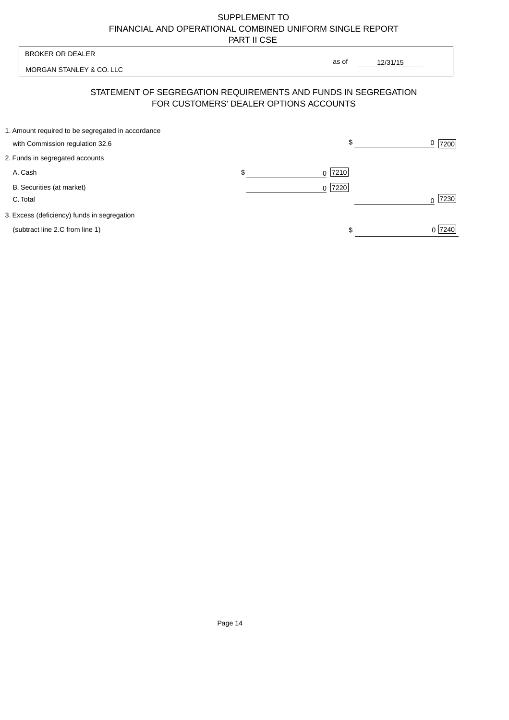| <b>BROKER OR DEALER</b>                                                              |    | as of                                                                                                    |                     |
|--------------------------------------------------------------------------------------|----|----------------------------------------------------------------------------------------------------------|---------------------|
| MORGAN STANLEY & CO. LLC                                                             |    | 12/31/15                                                                                                 |                     |
|                                                                                      |    | STATEMENT OF SEGREGATION REQUIREMENTS AND FUNDS IN SEGREGATION<br>FOR CUSTOMERS' DEALER OPTIONS ACCOUNTS |                     |
| 1. Amount required to be segregated in accordance<br>with Commission regulation 32.6 |    | \$                                                                                                       | $\frac{0}{2}$  7200 |
| 2. Funds in segregated accounts                                                      |    |                                                                                                          |                     |
| A. Cash                                                                              | \$ | $ 7210$<br>$\Omega$                                                                                      |                     |
| B. Securities (at market)<br>C. Total                                                |    | 7220<br>$\Omega$                                                                                         | 7230                |
| 3. Excess (deficiency) funds in segregation                                          |    |                                                                                                          |                     |
| (subtract line 2.C from line 1)                                                      |    |                                                                                                          | 0 7240              |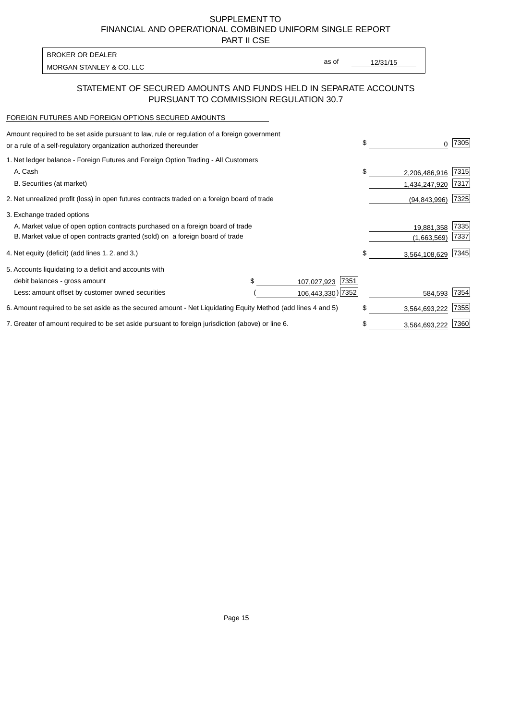PART II CSE

| BROKER OR DEALER         |       |          |
|--------------------------|-------|----------|
| MORGAN STANLEY & CO. LLC | as of | 12/31/15 |
|                          |       |          |

### STATEMENT OF SECURED AMOUNTS AND FUNDS HELD IN SEPARATE ACCOUNTS PURSUANT TO COMMISSION REGULATION 30.7

#### FOREIGN FUTURES AND FOREIGN OPTIONS SECURED AMOUNTS

| Amount required to be set aside pursuant to law, rule or regulation of a foreign government<br>or a rule of a self-regulatory organization authorized thereunder |  |                     | \$ |                | 7305 |
|------------------------------------------------------------------------------------------------------------------------------------------------------------------|--|---------------------|----|----------------|------|
| 1. Net ledger balance - Foreign Futures and Foreign Option Trading - All Customers                                                                               |  |                     |    |                |      |
| A. Cash                                                                                                                                                          |  |                     | \$ | 2,206,486,916  | 7315 |
| B. Securities (at market)                                                                                                                                        |  |                     |    | 1,434,247,920  | 7317 |
| 2. Net unrealized profit (loss) in open futures contracts traded on a foreign board of trade                                                                     |  |                     |    | (94, 843, 996) | 7325 |
| 3. Exchange traded options                                                                                                                                       |  |                     |    |                |      |
| A. Market value of open option contracts purchased on a foreign board of trade                                                                                   |  |                     |    | 19,881,358     | 7335 |
| B. Market value of open contracts granted (sold) on a foreign board of trade                                                                                     |  |                     |    | (1,663,569)    | 7337 |
| 4. Net equity (deficit) (add lines 1.2. and 3.)                                                                                                                  |  |                     | \$ | 3,564,108,629  | 7345 |
| 5. Accounts liquidating to a deficit and accounts with                                                                                                           |  |                     |    |                |      |
| debit balances - gross amount                                                                                                                                    |  | 7351<br>107,027,923 |    |                |      |
| Less: amount offset by customer owned securities                                                                                                                 |  | 106,443,330) 7352   |    | 584,593        | 7354 |
| 6. Amount required to be set aside as the secured amount - Net Liquidating Equity Method (add lines 4 and 5)                                                     |  |                     | \$ | 3,564,693,222  | 7355 |
| 7. Greater of amount required to be set aside pursuant to foreign jurisdiction (above) or line 6.                                                                |  |                     | \$ | 3,564,693,222  | 7360 |
|                                                                                                                                                                  |  |                     |    |                |      |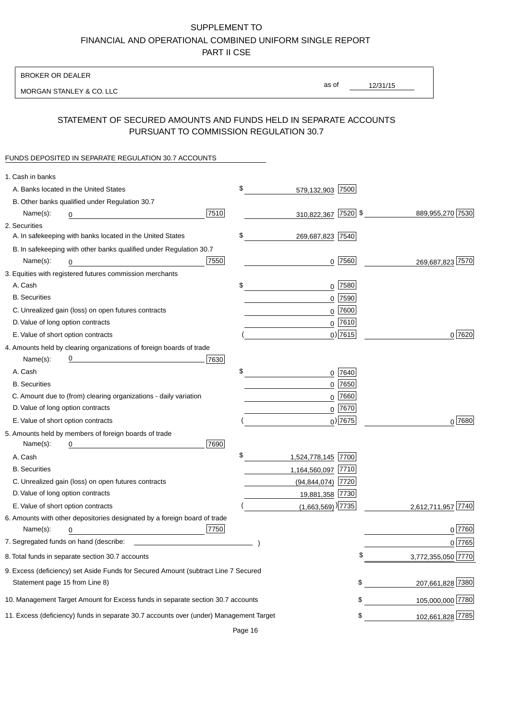BROKER OR DEALER

MORGAN STANLEY & CO. LLC

12/31/15 as of

# STATEMENT OF SECURED AMOUNTS AND FUNDS HELD IN SEPARATE ACCOUNTS PURSUANT TO COMMISSION REGULATION 30.7

### FUNDS DEPOSITED IN SEPARATE REGULATION 30.7 ACCOUNTS

| 1. Cash in banks                  |                                                                                                                      |      |                                   |            |                    |
|-----------------------------------|----------------------------------------------------------------------------------------------------------------------|------|-----------------------------------|------------|--------------------|
|                                   | A. Banks located in the United States                                                                                |      | \$<br>579,132,903 7500            |            |                    |
|                                   | B. Other banks qualified under Regulation 30.7                                                                       |      |                                   |            |                    |
| Name(s):                          | 0                                                                                                                    | 7510 | 310,822,367 7520 \$               |            | 889,955,270 7530   |
| 2. Securities                     |                                                                                                                      |      |                                   |            |                    |
|                                   | A. In safekeeping with banks located in the United States                                                            |      | \$<br>269,687,823 7540            |            |                    |
|                                   | B. In safekeeping with other banks qualified under Regulation 30.7                                                   |      |                                   |            |                    |
| Name(s):                          | 0                                                                                                                    | 7550 |                                   | $0$ 7560   | 269,687,823 7570   |
|                                   | 3. Equities with registered futures commission merchants                                                             |      |                                   |            |                    |
| A. Cash                           |                                                                                                                      |      | \$                                | $0$ 7580   |                    |
| <b>B.</b> Securities              |                                                                                                                      |      |                                   | $0$ 7590   |                    |
|                                   | C. Unrealized gain (loss) on open futures contracts                                                                  |      |                                   | $0$ 7600   |                    |
| D. Value of long option contracts |                                                                                                                      |      |                                   | $0$ 7610   |                    |
|                                   | E. Value of short option contracts                                                                                   |      |                                   | $0$ ) 7615 | 0 7620             |
|                                   | 4. Amounts held by clearing organizations of foreign boards of trade                                                 |      |                                   |            |                    |
| Name(s):                          | <u> 1989 - Johann Barn, mars eta bat erroman erroman erroman erroman erroman erroman erroman erroman erroman err</u> | 7630 |                                   |            |                    |
| A. Cash                           |                                                                                                                      |      | \$                                | 0 7640     |                    |
| <b>B.</b> Securities              |                                                                                                                      |      |                                   | $0$ 7650   |                    |
|                                   | C. Amount due to (from) clearing organizations - daily variation                                                     |      |                                   | $0$ 7660   |                    |
| D. Value of long option contracts |                                                                                                                      |      |                                   | $0^{7670}$ |                    |
|                                   | E. Value of short option contracts                                                                                   |      |                                   | $0$ ) 7675 | $0^{7680}$         |
|                                   | 5. Amounts held by members of foreign boards of trade                                                                |      |                                   |            |                    |
| Name(s):                          | 0                                                                                                                    | 7690 |                                   |            |                    |
| A. Cash                           |                                                                                                                      |      | \$<br>1,524,778,145 7700          |            |                    |
| <b>B.</b> Securities              |                                                                                                                      |      | 1,164,560,097 7710                |            |                    |
|                                   | C. Unrealized gain (loss) on open futures contracts                                                                  |      | (94,844,074) 7720                 |            |                    |
| D. Value of long option contracts |                                                                                                                      |      | 19,881,358 7730                   |            |                    |
|                                   | E. Value of short option contracts                                                                                   |      | $(1,663,569)$ <sup>)</sup> [7735] |            | 2,612,711,957 7740 |
|                                   | 6. Amounts with other depositories designated by a foreign board of trade                                            |      |                                   |            |                    |
| Name(s):                          | 0                                                                                                                    | 7750 |                                   |            | 0 7760             |
|                                   |                                                                                                                      |      |                                   |            | 0 7765             |
|                                   | 8. Total funds in separate section 30.7 accounts                                                                     |      |                                   | \$         | 3,772,355,050 7770 |
|                                   | 9. Excess (deficiency) set Aside Funds for Secured Amount (subtract Line 7 Secured                                   |      |                                   |            |                    |
| Statement page 15 from Line 8)    |                                                                                                                      |      |                                   | \$         | 207,661,828 7380   |
|                                   | 10. Management Target Amount for Excess funds in separate section 30.7 accounts                                      |      |                                   | \$         | 105,000,000 7780   |
|                                   | 11. Excess (deficiency) funds in separate 30.7 accounts over (under) Management Target                               |      |                                   | \$         | 102,661,828 7785   |
|                                   |                                                                                                                      |      |                                   |            |                    |